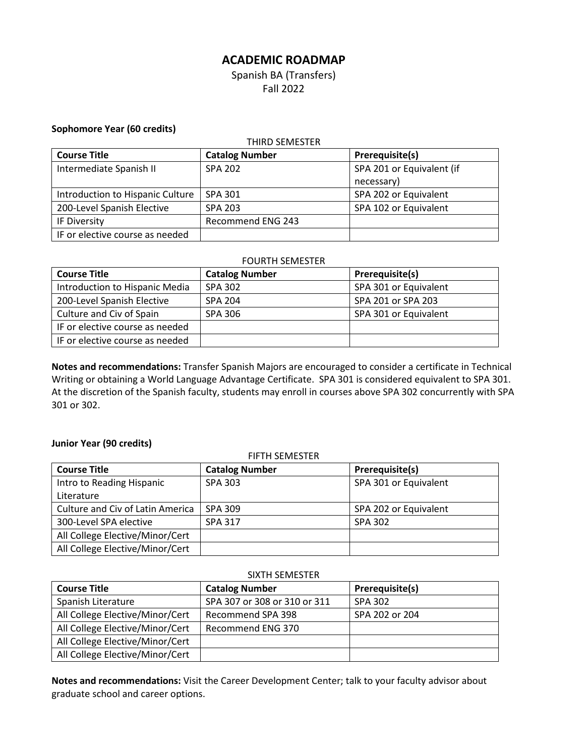# **ACADEMIC ROADMAP**

Spanish BA (Transfers) Fall 2022

### **Sophomore Year (60 credits)**

| THIRD SEMESTER                   |                       |                           |
|----------------------------------|-----------------------|---------------------------|
| <b>Course Title</b>              | <b>Catalog Number</b> | Prerequisite(s)           |
| Intermediate Spanish II          | <b>SPA 202</b>        | SPA 201 or Equivalent (if |
|                                  |                       | necessary)                |
| Introduction to Hispanic Culture | SPA 301               | SPA 202 or Equivalent     |
| 200-Level Spanish Elective       | <b>SPA 203</b>        | SPA 102 or Equivalent     |
| IF Diversity                     | Recommend ENG 243     |                           |
| IF or elective course as needed  |                       |                           |

### FOURTH SEMESTER

| <b>Course Title</b>             | <b>Catalog Number</b> | Prerequisite(s)       |
|---------------------------------|-----------------------|-----------------------|
| Introduction to Hispanic Media  | SPA 302               | SPA 301 or Equivalent |
| 200-Level Spanish Elective      | <b>SPA 204</b>        | SPA 201 or SPA 203    |
| Culture and Civ of Spain        | SPA 306               | SPA 301 or Equivalent |
| IF or elective course as needed |                       |                       |
| IF or elective course as needed |                       |                       |

**Notes and recommendations:** Transfer Spanish Majors are encouraged to consider a certificate in Technical Writing or obtaining a World Language Advantage Certificate. SPA 301 is considered equivalent to SPA 301. At the discretion of the Spanish faculty, students may enroll in courses above SPA 302 concurrently with SPA 301 or 302.

# **Junior Year (90 credits)**

| <b>FIFTH SEMESTER</b>                   |                       |                       |  |
|-----------------------------------------|-----------------------|-----------------------|--|
| <b>Course Title</b>                     | <b>Catalog Number</b> | Prerequisite(s)       |  |
| Intro to Reading Hispanic               | <b>SPA 303</b>        | SPA 301 or Equivalent |  |
| Literature                              |                       |                       |  |
| <b>Culture and Civ of Latin America</b> | SPA 309               | SPA 202 or Equivalent |  |
| 300-Level SPA elective                  | <b>SPA 317</b>        | <b>SPA 302</b>        |  |
| All College Elective/Minor/Cert         |                       |                       |  |
| All College Elective/Minor/Cert         |                       |                       |  |

#### SIXTH SEMESTER

| <b>Course Title</b>             | <b>Catalog Number</b>        | Prerequisite(s) |
|---------------------------------|------------------------------|-----------------|
| Spanish Literature              | SPA 307 or 308 or 310 or 311 | SPA 302         |
| All College Elective/Minor/Cert | Recommend SPA 398            | SPA 202 or 204  |
| All College Elective/Minor/Cert | Recommend ENG 370            |                 |
| All College Elective/Minor/Cert |                              |                 |
| All College Elective/Minor/Cert |                              |                 |

**Notes and recommendations:** Visit the Career Development Center; talk to your faculty advisor about graduate school and career options.